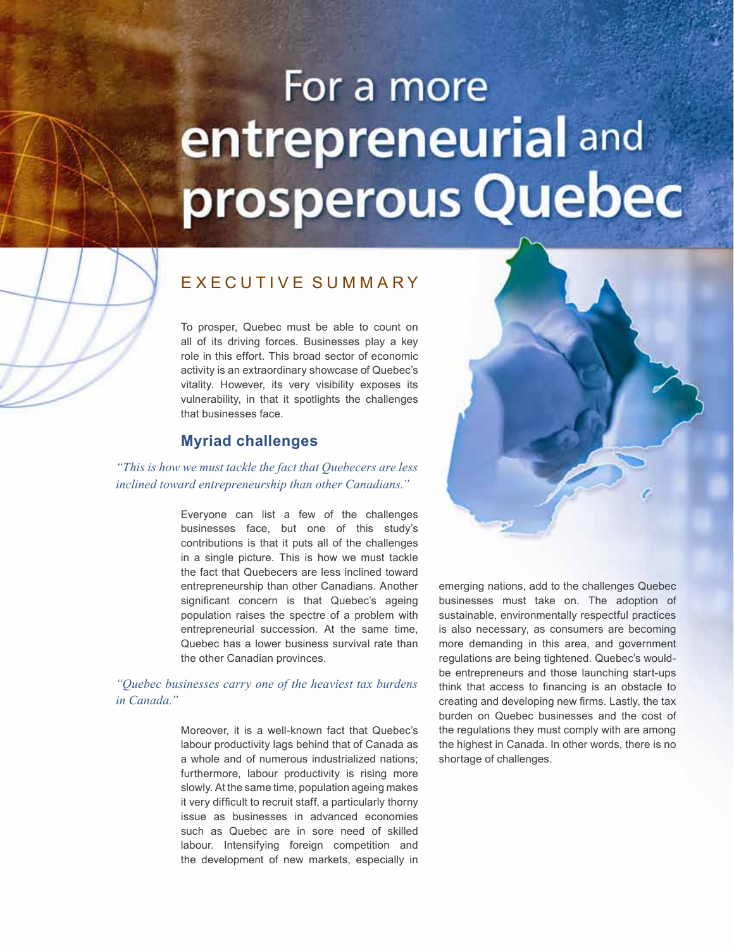# For a more entrepreneurial and prosperous Quebec

### E x e cutiv e summary

To prosper, Quebec must be able to count on all of its driving forces. Businesses play a key role in this effort. This broad sector of economic activity is an extraordinary showcase of Quebec's vitality. However, its very visibility exposes its vulnerability, in that it spotlights the challenges that businesses face.

#### **Myriad challenges**

*"This is how we must tackle the fact that Quebecers are less inclined toward entrepreneurship than other Canadians."*

> Everyone can list a few of the challenges businesses face, but one of this study's contributions is that it puts all of the challenges in a single picture. This is how we must tackle the fact that Quebecers are less inclined toward entrepreneurship than other Canadians. Another significant concern is that Quebec's ageing population raises the spectre of a problem with entrepreneurial succession. At the same time, Quebec has a lower business survival rate than the other Canadian provinces.

*"Quebec businesses carry one of the heaviest tax burdens in Canada."*

> Moreover, it is a well-known fact that Quebec's labour productivity lags behind that of Canada as a whole and of numerous industrialized nations; furthermore, labour productivity is rising more slowly. At the same time, population ageing makes it very difficult to recruit staff, a particularly thorny issue as businesses in advanced economies such as Quebec are in sore need of skilled labour. Intensifying foreign competition and the development of new markets, especially in



emerging nations, add to the challenges Quebec businesses must take on. The adoption of sustainable, environmentally respectful practices is also necessary, as consumers are becoming more demanding in this area, and government regulations are being tightened. Quebec's wouldbe entrepreneurs and those launching start-ups think that access to financing is an obstacle to creating and developing new firms. Lastly, the tax burden on Quebec businesses and the cost of the regulations they must comply with are among the highest in Canada. In other words, there is no shortage of challenges.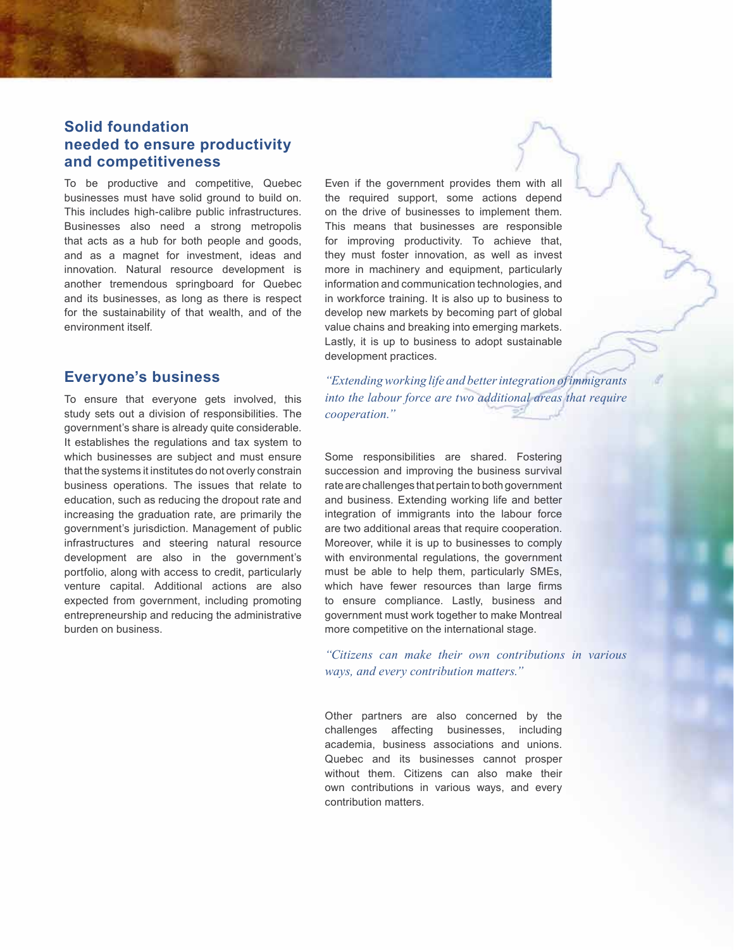#### **Solid foundation needed to ensure productivity and competitiveness**

To be productive and competitive, Quebec businesses must have solid ground to build on. This includes high-calibre public infrastructures. Businesses also need a strong metropolis that acts as a hub for both people and goods, and as a magnet for investment, ideas and innovation. Natural resource development is another tremendous springboard for Quebec and its businesses, as long as there is respect for the sustainability of that wealth, and of the environment itself.

#### **Everyone's business**

To ensure that everyone gets involved, this study sets out a division of responsibilities. The government's share is already quite considerable. It establishes the regulations and tax system to which businesses are subject and must ensure that the systems it institutes do not overly constrain business operations. The issues that relate to education, such as reducing the dropout rate and increasing the graduation rate, are primarily the government's jurisdiction. Management of public infrastructures and steering natural resource development are also in the government's portfolio, along with access to credit, particularly venture capital. Additional actions are also expected from government, including promoting entrepreneurship and reducing the administrative burden on business.

Even if the government provides them with all the required support, some actions depend on the drive of businesses to implement them. This means that businesses are responsible for improving productivity. To achieve that, they must foster innovation, as well as invest more in machinery and equipment, particularly information and communication technologies, and in workforce training. It is also up to business to develop new markets by becoming part of global value chains and breaking into emerging markets. Lastly, it is up to business to adopt sustainable development practices.

*"Extending working life and better integration of immigrants into the labour force are two additional areas that require cooperation."*

Some responsibilities are shared. Fostering succession and improving the business survival rate are challenges that pertain to both government and business. Extending working life and better integration of immigrants into the labour force are two additional areas that require cooperation. Moreover, while it is up to businesses to comply with environmental regulations, the government must be able to help them, particularly SMEs, which have fewer resources than large firms to ensure compliance. Lastly, business and government must work together to make Montreal more competitive on the international stage.

*"Citizens can make their own contributions in various ways, and every contribution matters."*

Other partners are also concerned by the challenges affecting businesses, including academia, business associations and unions. Quebec and its businesses cannot prosper without them. Citizens can also make their own contributions in various ways, and every contribution matters.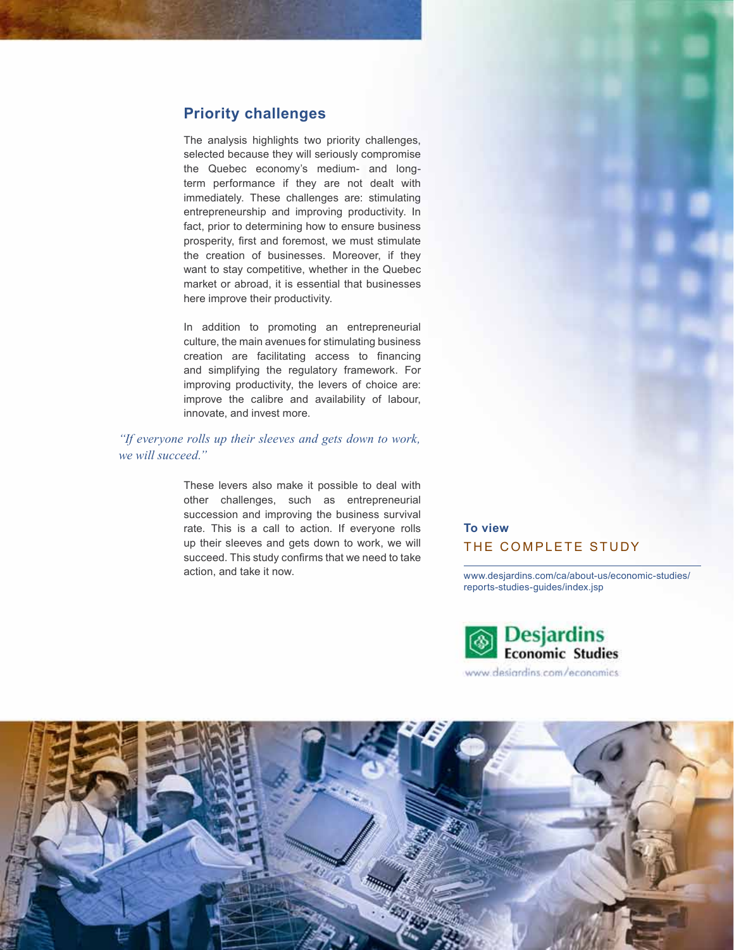#### **Priority challenges**

The analysis highlights two priority challenges, selected because they will seriously compromise the Quebec economy's medium- and longterm performance if they are not dealt with immediately. These challenges are: stimulating entrepreneurship and improving productivity. In fact, prior to determining how to ensure business prosperity, first and foremost, we must stimulate the creation of businesses. Moreover, if they want to stay competitive, whether in the Quebec market or abroad, it is essential that businesses here improve their productivity.

In addition to promoting an entrepreneurial culture, the main avenues for stimulating business creation are facilitating access to financing and simplifying the regulatory framework. For improving productivity, the levers of choice are: improve the calibre and availability of labour, innovate, and invest more.

#### *"If everyone rolls up their sleeves and gets down to work, we will succeed."*

These levers also make it possible to deal with other challenges, such as entrepreneurial succession and improving the business survival rate. This is a call to action. If everyone rolls up their sleeves and gets down to work, we will succeed. This study confirms that we need to take action, and take it now.

#### **To view** THE COMPLETE STUDY

[www.desjardins.com/ca/about-us/economic-studies/](http://www.desjardins.com/ca/about-us/economic-studies/reports-studies-guides/index.jsp) [reports-studies-guides/index.jsp](http://www.desjardins.com/ca/about-us/economic-studies/reports-studies-guides/index.jsp)